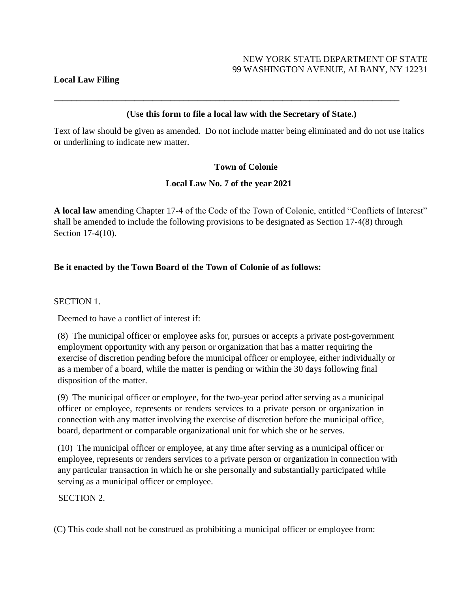#### **Local Law Filing**

### **(Use this form to file a local law with the Secretary of State.)**

**\_\_\_\_\_\_\_\_\_\_\_\_\_\_\_\_\_\_\_\_\_\_\_\_\_\_\_\_\_\_\_\_\_\_\_\_\_\_\_\_\_\_\_\_\_\_\_\_\_\_\_\_\_\_\_\_\_\_\_\_\_\_\_\_\_\_\_\_\_\_\_\_\_\_\_\_\_**

Text of law should be given as amended. Do not include matter being eliminated and do not use italics or underlining to indicate new matter.

### **Town of Colonie**

### **Local Law No. 7 of the year 2021**

**A local law** amending Chapter 17-4 of the Code of the Town of Colonie, entitled "Conflicts of Interest" shall be amended to include the following provisions to be designated as Section 17-4(8) through Section 17-4(10).

### **Be it enacted by the Town Board of the Town of Colonie of as follows:**

SECTION 1.

Deemed to have a conflict of interest if:

(8) The municipal officer or employee asks for, pursues or accepts a private post-government employment opportunity with any person or organization that has a matter requiring the exercise of discretion pending before the municipal officer or employee, either individually or as a member of a board, while the matter is pending or within the 30 days following final disposition of the matter.

(9) The municipal officer or employee, for the two-year period after serving as a municipal officer or employee, represents or renders services to a private person or organization in connection with any matter involving the exercise of discretion before the municipal office, board, department or comparable organizational unit for which she or he serves.

(10) The municipal officer or employee, at any time after serving as a municipal officer or employee, represents or renders services to a private person or organization in connection with any particular transaction in which he or she personally and substantially participated while serving as a municipal officer or employee.

#### SECTION 2.

(C) This code shall not be construed as prohibiting a municipal officer or employee from: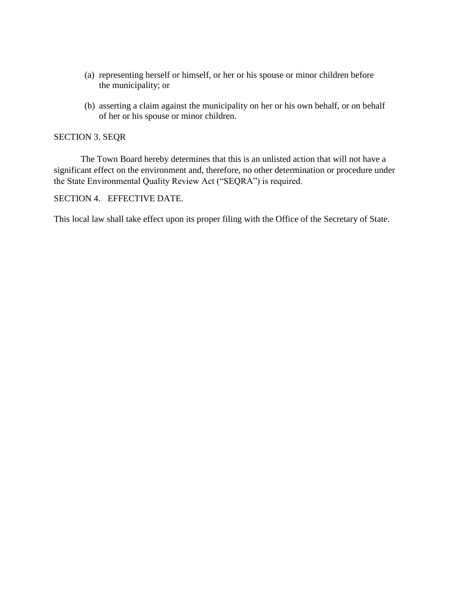- (a) representing herself or himself, or her or his spouse or minor children before the municipality; or
- (b) asserting a claim against the municipality on her or his own behalf, or on behalf of her or his spouse or minor children.

#### SECTION 3. SEQR

The Town Board hereby determines that this is an unlisted action that will not have a significant effect on the environment and, therefore, no other determination or procedure under the State Environmental Quality Review Act ("SEQRA") is required.

### SECTION 4. EFFECTIVE DATE.

This local law shall take effect upon its proper filing with the Office of the Secretary of State.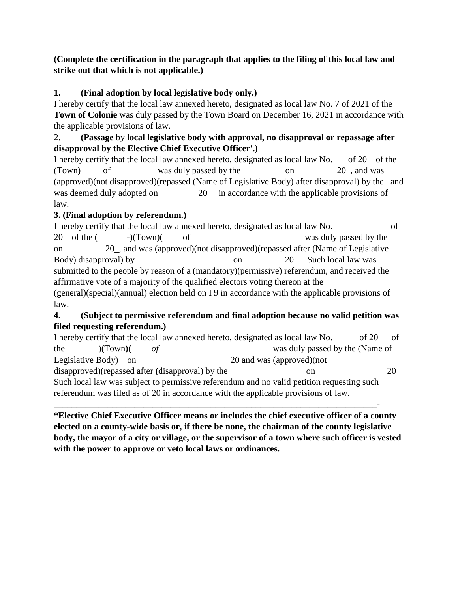### **(Complete the certification in the paragraph that applies to the filing of this local law and strike out that which is not applicable.)**

# **1. (Final adoption by local legislative body only.)**

I hereby certify that the local law annexed hereto, designated as local law No. 7 of 2021 of the **Town of Colonie** was duly passed by the Town Board on December 16, 2021 in accordance with the applicable provisions of law.

## 2. **(Passage** by **local legislative body with approval, no disapproval or repassage after disapproval by the Elective Chief Executive Officer'.)**

I hereby certify that the local law annexed hereto, designated as local law No. of 20 of the (Town) of was duly passed by the on 20\_, and was (approved)(not disapproved)(repassed (Name of Legislative Body) after disapproval) by the and was deemed duly adopted on 20 in accordance with the applicable provisions of law.

# **3. (Final adoption by referendum.)**

I hereby certify that the local law annexed hereto, designated as local law No. of 20 of the (  $-)(Town)($  of was duly passed by the on 20\_, and was (approved)(not disapproved)(repassed after (Name of Legislative Body) disapproval) by on 20 Such local law was submitted to the people by reason of a (mandatory)(permissive) referendum, and received the affirmative vote of a majority of the qualified electors voting thereon at the (general)(special)(annual) election held on I 9 in accordance with the applicable provisions of law.

## **4. (Subject to permissive referendum and final adoption because no valid petition was filed requesting referendum.)**

| I hereby certify that the local law annexed hereto, designated as local law No.           | of<br>of $20$                   |
|-------------------------------------------------------------------------------------------|---------------------------------|
| the<br>(CT <sub>own</sub> )                                                               | was duly passed by the (Name of |
| Legislative Body) on                                                                      | 20 and was (approved) (not      |
| disapproved) (repassed after (disapproval) by the                                         | 20<br>on                        |
| Such local law was subject to permissive referendum and no valid petition requesting such |                                 |
| referendum was filed as of 20 in accordance with the applicable provisions of law.        |                                 |

\_\_\_\_\_\_\_\_\_\_\_\_\_\_\_\_\_\_\_\_\_\_\_\_\_\_\_\_\_\_\_\_\_\_\_\_\_\_\_\_\_\_\_\_\_\_\_\_\_\_\_\_\_\_\_\_\_\_\_\_\_\_\_\_\_\_\_\_\_\_\_\_- **\*Elective Chief Executive Officer means or includes the chief executive officer of a county elected on a county-wide basis or, if there be none, the chairman of the county legislative body, the mayor of a city or village, or the supervisor of a town where such officer is vested with the power to approve or veto local laws or ordinances.**